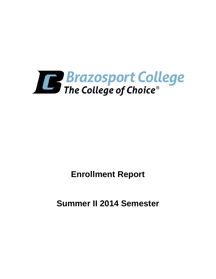

**Enrollment Report**

**Summer II 2014 Semester**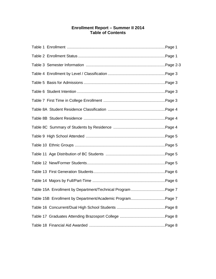## **Enrollment Report – Summer II 2014 Table of Contents**

| Table 15A Enrollment by Department/Technical Program Page 7 |  |
|-------------------------------------------------------------|--|
| Table 15B Enrollment by Department/Academic ProgramPage 7   |  |
|                                                             |  |
|                                                             |  |
|                                                             |  |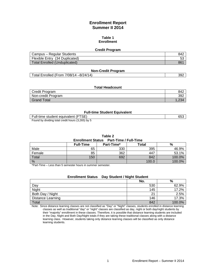## **Enrollment Report Summer II 2014**

#### **Table 1 Enrollment**

#### **Credit Program**

| Campus – Regular Students      | 842             |
|--------------------------------|-----------------|
| Flexible Entry (34 Duplicated) | vu              |
| Total Enrolled (Unduplicated)  | 86 <sup>1</sup> |

#### **Non-Credit Program**

Total Enrolled (From 7/08/14 –8/24/14) 392

#### **Total Headcount**

| Credit Program     | 842 |
|--------------------|-----|
| Non-credit Program | 392 |
| <b>Grand Total</b> |     |

#### **Full-time Student Equivalent**

| Full-time student equivalent (FTSE)               | 653 |
|---------------------------------------------------|-----|
| Found by dividing total credit hours (3,265) by 5 |     |

#### **Table 2**

#### **Enrollment Status Part-Time / Full-Time**

|               | <b>Full-Time</b> | Part-Time* | Total | %      |  |
|---------------|------------------|------------|-------|--------|--|
| Male          | 65               | 330        | 395   | 46.9%  |  |
| Female        | 85               | 362        | 447   | 53.1%  |  |
| Total         | 150              | 692        | 842   | 100.0% |  |
| $\frac{0}{0}$ |                  |            | 100.0 | 100.0% |  |

\*Part-Time – Less than 5 semester hours in summer semester.

## **Enrollment Status Day Student / Night Student**

|                          | No. | %      |
|--------------------------|-----|--------|
| Day                      | 530 | 62.9%  |
| Night                    | 145 | 17.2%  |
| Both Day / Night         | c.  | 2.5%   |
| <b>Distance Learning</b> | 146 | 17.3%  |
| Total                    | 842 | 100.0% |

Note: Since distance learning classes are not classified as "Day" or "Night" classes, students enrolled in distance learning classes as well as traditional "day" or "night" classes are classified as day, night or both day/night students by their "majority" enrollment in these classes. Therefore, it is possible that distance learning students are included in the Day, Night and Both Day/Night totals if they are taking these traditional classes along with a distance learning class. However, students taking only distance learning classes will be classified as only distance learning students.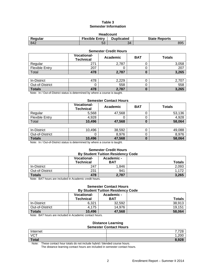## **Table 3 Semester Information**

| <b>Headcount</b>                                                              |          |    |     |  |  |
|-------------------------------------------------------------------------------|----------|----|-----|--|--|
| <b>Flexible Entry</b><br><b>Duplicated</b><br>Regular<br><b>State Reports</b> |          |    |     |  |  |
| 842                                                                           | rη<br>ეკ | 34 | 895 |  |  |

| <b>Semester Credit Hours</b> |                                        |          |            |               |  |
|------------------------------|----------------------------------------|----------|------------|---------------|--|
|                              | <b>Vocational-</b><br><b>Technical</b> | Academic | <b>BAT</b> | <b>Totals</b> |  |
| Regular                      | 271                                    | 2,787    |            | 3,058         |  |
| <b>Flexible Entry</b>        | 207                                    |          |            | 207           |  |
| Total                        | 478                                    | 2,787    | 0          | 3,265         |  |
|                              |                                        |          |            |               |  |
| In-District                  | 478                                    | 2,229    |            | 2,707         |  |
| Out-of-District              |                                        | 558      |            | 558           |  |
| <b>Totals</b>                | 478                                    | 2,787    | 0          | 3,265         |  |

Note: In / Out-of-District status is determined by where a course is taught.

#### **Semester Contact Hours**

|                       | <b>Vocational-</b><br><b>Technical</b> | Academic | <b>BAT</b> | <b>Totals</b> |
|-----------------------|----------------------------------------|----------|------------|---------------|
| Regular               | 5.568                                  | 47.568   |            | 53.136        |
| <b>Flexible Entry</b> | 4.928                                  |          |            | 4.928         |
| Total                 | 10,496                                 | 47,568   |            | 58,064        |

| In-District     | 10,496<br>1 ∩ | 38,592 | 49,088 |
|-----------------|---------------|--------|--------|
| Out-of-District |               | 8,976  | 8.976  |
| <b>Totals</b>   | 10,496        | 47,568 | 58.064 |

Note: In / Out-of-District status is determined by where a course is taught.

# **Semester Credit Hours**

| <b>By Student Tuition Residency Code</b> |                                 |                          |               |  |
|------------------------------------------|---------------------------------|--------------------------|---------------|--|
|                                          | <b>Vocational-</b><br>Technical | Academic -<br><b>BAT</b> | <b>Totals</b> |  |
| In-District                              | 247                             | 1,846                    | 2,093         |  |
| Out-of-District                          | 231                             | 941                      | 1.172         |  |
| <b>Totals</b>                            | 478                             | 2,787                    | 3,265         |  |

Note: BAT hours are included in Academic credit hours.

#### **Semester Contact Hours By Student Tuition Residency Code**

|                 | <b>Vocational-</b><br><b>Technical</b> | Academic -<br><b>BAT</b> | <b>Totals</b> |
|-----------------|----------------------------------------|--------------------------|---------------|
| In-District     | 6.321                                  | 32,592                   | 38.913        |
| Out-of-District | 4.175                                  | 14.976                   | 19.151        |
| <b>Totals</b>   | 10.496                                 | 47,568                   | 58,064        |

Note: BAT hours are included in Academic contact hours.

#### **Distance Learning Semester Contact Hours**

| _________________ |            |  |
|-------------------|------------|--|
| Internet          | 7700<br>∠∪ |  |
| <b>VCT</b>        | 1,200<br>4 |  |
| <b>Total</b>      | 8,928      |  |

Note: These contact hour totals do not include hybrid / blended course hours.

The distance learning contact hours are included in semester contact hours.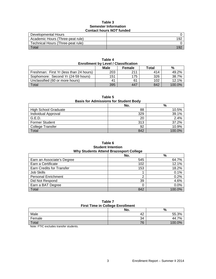#### **Table 3 Semester Information Contact hours** *NOT* **funded**

| Developmental Hours               |     |
|-----------------------------------|-----|
| Academic Hours (Three-peat rule)  | 192 |
| Technical Hours (Three-peat rule) |     |
| $\tau$ <sub>otal</sub>            | 192 |

| <b>Enrollment by Level / Classification</b> |      |               |       |        |
|---------------------------------------------|------|---------------|-------|--------|
|                                             | Male | <b>Female</b> | Total | %      |
| Freshman: First Yr (less than 24 hours)     | 203  | 211           | 414   | 49.2%  |
| Sophomore: Second Yr (24-59 hours)          | 151  | 175           | 326   | 38.7%  |
| Unclassified (60 or more hours)             | 41   | 61            | 102   | 12.1%  |
| Total                                       | 395  | 447           | 842   | 100.0% |

**Table 4**

## **Table 5**

### **Basis for Admissions for Student Body**

|                             | No. | %      |
|-----------------------------|-----|--------|
| <b>High School Graduate</b> | 88  | 10.5%  |
| Individual Approval         | 329 | 39.1%  |
| G.E.D.                      | 20  | 2.4%   |
| <b>Former Student</b>       | 313 | 37.2%  |
| <b>College Transfer</b>     | 92  | 10.9%  |
| <b>Total</b>                | 842 | 100.0% |

## **Table 6 Student Intention Why Students Attend Brazosport College**

|                                  | No. | $\%$   |
|----------------------------------|-----|--------|
| Earn an Associate's Degree       | 545 | 64.7%  |
| Earn a Certificate               | 102 | 12.1%  |
| <b>Earn Credits for Transfer</b> | 153 | 18.2%  |
| Job Skills                       |     | 0.1%   |
| <b>Personal Enrichment</b>       | ◠   | 0.2%   |
| Did Not Respond                  | 39  | 4.6%   |
| Earn a BAT Degree                |     | 0.0%   |
| Total                            | 842 | 100.0% |

#### **Table 7 First Time in College Enrollment**

| <u>rast rang ar oonced Enromnont</u> |     |          |  |  |
|--------------------------------------|-----|----------|--|--|
|                                      | No. | %        |  |  |
| Male                                 | 42  | 55.3%    |  |  |
| Female                               | 34  | 7%<br>44 |  |  |
| Total                                | 76  | 100.0%   |  |  |

Note: FTIC excludes transfer students.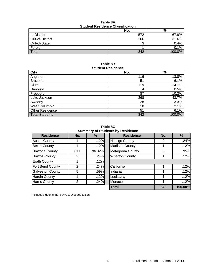## **Table 8A Student Residence Classification**

|                 | No. | %      |  |  |
|-----------------|-----|--------|--|--|
| In-District     | 572 | 67.9%  |  |  |
| Out-of-District | 266 | 31.6%  |  |  |
| Out-of-State    | ີ   | 0.4%   |  |  |
| Foreign         |     | 0.1%   |  |  |
| Total           | 842 | 100.0% |  |  |

### **Table 8B Student Residence**

| <b>City</b>            | No. | $\%$   |
|------------------------|-----|--------|
| Angleton               | 116 | 13.8%  |
| <b>Brazoria</b>        | 51  | 6.1%   |
| Clute                  | 119 | 14.1%  |
| Danbury                | 4   | 0.5%   |
| Freeport               | 87  | 10.3%  |
| Lake Jackson           | 368 | 43.7%  |
| Sweeny                 | 28  | 3.3%   |
| West Columbia          | 18  | 2.1%   |
| <b>Other Residence</b> | 51  | 6.1%   |
| <b>Total Students</b>  | 842 | 100.0% |

**Table 8C Summary of Students by Residence**

| <b>Residence</b>        | No. | %      |
|-------------------------|-----|--------|
| <b>Austin County</b>    | 1   | .12%   |
| <b>Bexar County</b>     | 1   | .12%   |
| <b>Brazoria County</b>  | 811 | 96.32% |
| <b>Brazos County</b>    | 2   | .24%   |
| <b>Erath County</b>     | 1   | .12%   |
| Fort Bend County        | 2   | .24%   |
| <b>Galveston County</b> | 5   | .59%   |
| <b>Hardin County</b>    |     | .12%   |
| <b>Harris County</b>    | 2   | .24%   |

| <u>odininal y of otagonto by roofaonoo</u> |        |                       |     |               |
|--------------------------------------------|--------|-----------------------|-----|---------------|
| No.                                        | %      | <b>Residence</b>      | No. | $\frac{9}{6}$ |
|                                            | .12%   | <b>Hidalgo County</b> | 2   | .24%          |
|                                            | .12%   | <b>Madison County</b> |     | .12%          |
| 811                                        | 96.32% | Matagorda County      | 8   | .95%          |
| 2                                          | .24%   | <b>Wharton County</b> |     | .12%          |
|                                            | .12%   |                       |     |               |
| 2                                          | .24%   | California            |     | .12%          |
| 5                                          | .59%   | Indiana               |     | .12%          |
|                                            | .12%   | Louisiana             |     | .12%          |
| 2                                          | .24%   | Monaco                |     | .12%          |
|                                            |        | <b>Total</b>          | 842 | 100.00%       |
|                                            |        |                       |     |               |

Includes students that pay C & D coded tuition.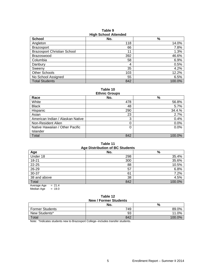| <b>HIGH SCHOOL Attended</b>        |     |        |  |
|------------------------------------|-----|--------|--|
| <b>School</b>                      | No. | %      |  |
| Angleton                           | 118 | 14.0%  |  |
| <b>Brazosport</b>                  | 66  | 7.8%   |  |
| <b>Brazosport Christian School</b> | 11  | 1.3%   |  |
| <b>Brazoswood</b>                  | 392 | 46.6%  |  |
| Columbia                           | 58  | 6.9%   |  |
| Danbury                            | 4   | 0.5%   |  |
| Sweenv                             | 35  | 4.2%   |  |
| <b>Other Schools</b>               | 103 | 12.2%  |  |
| No School Assigned                 | 55  | 6.5%   |  |
| <b>Total Students</b>              | 842 | 100.0% |  |

**Table 9 High School Attended**

**Table 10**

| <b>Ethnic Groups</b>             |     |        |
|----------------------------------|-----|--------|
| Race                             | No. | %      |
| White                            | 478 | 56.8%  |
| <b>Black</b>                     | 48  | 5.7%   |
| Hispanic                         | 290 | 34.4.% |
| Asian                            | 23  | 2.7%   |
| American Indian / Alaskan Native | 3   | 0.4%   |
| Non-Resident Alien               | 0   | 0.0%   |
| Native Hawaiian / Other Pacific  | 0   | 0.0%   |
| Islander                         |     |        |
| Total                            | 842 | 100.0% |

## **Table 11**

| <b>Age Distribution of BC Students</b> |     |        |  |  |  |
|----------------------------------------|-----|--------|--|--|--|
| Age                                    | No. | $\%$   |  |  |  |
| Under 18                               | 298 | 35.4%  |  |  |  |
| 18-21                                  | 300 | 35.6%  |  |  |  |
| 22-25                                  | 88  | 10.5%  |  |  |  |
| 26-29                                  | 57  | 6.8%   |  |  |  |
| 30-37                                  | 61  | 7.2%   |  |  |  |
| 38 and above                           | 38  | 4.5%   |  |  |  |
| Total                                  | 842 | 100.0% |  |  |  |
| Average Age<br>$= 21.4$                |     |        |  |  |  |

Median Age  $= 19.0$ 

#### **Table 12 New / Former Students**

| 195W/101116131445113   |     |        |  |  |  |
|------------------------|-----|--------|--|--|--|
|                        | No. | %      |  |  |  |
| <b>Former Students</b> | 749 | 89.0%  |  |  |  |
| New Students*          | 93  | 11.0%  |  |  |  |
| Total                  | 842 | 100 0% |  |  |  |

Note: \*Indicates students new to Brazosport College--includes transfer students.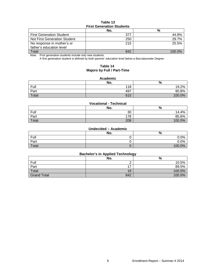## **Table 13 First Generation Students**

|                                 | No. | %      |  |  |  |
|---------------------------------|-----|--------|--|--|--|
| <b>First Generation Student</b> | 377 | 44.8%  |  |  |  |
| Not First Generation Student    | 250 | 29.7%  |  |  |  |
| No response in mother's or      | 215 | 25.5%  |  |  |  |
| father's education level        |     |        |  |  |  |
| Total                           | 842 | 100.0% |  |  |  |

Note: First generation students include only new students.

A first generation student is defined by both parents' education level below a Baccalaureate Degree.

## **Table 14 Majors by Full / Part-Time**

#### **Academic**

|       | No. | %      |
|-------|-----|--------|
| Full  | 118 | 19.2%  |
| Part  | 497 | 80.8%  |
| Total | 615 | 100.0% |

#### **Vocational - Technical**

|       | No. | %           |
|-------|-----|-------------|
| Full  | 30  | .4%<br>14.4 |
| Part  | 178 | 85.6%       |
| Total | 208 | 100.0%      |

#### **Undecided – Academic**

|       | No. | $\Omega$<br>70 |
|-------|-----|----------------|
| Full  |     | 0.0%           |
| Part  |     | 0.0%           |
| Total |     | 100.0%         |

## **Bachelor's in Applied Technology**

|                    | No.                      | %      |
|--------------------|--------------------------|--------|
| Full               |                          | 10.5%  |
| Part               | $\overline{\phantom{a}}$ | 89.5%  |
| Total              | 19                       | 100.0% |
| <b>Grand Total</b> | 842                      | 100.0% |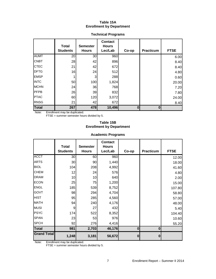## **Table 15A Enrollment by Department**

|              | <b>Total</b><br><b>Students</b> | <b>Semester</b><br><b>Hours</b> | <b>Contact</b><br><b>Hours</b><br>Lec/Lab | Co-op    | <b>Practicum</b> | <b>FTSE</b> |
|--------------|---------------------------------|---------------------------------|-------------------------------------------|----------|------------------|-------------|
| <b>AUMT</b>  | 20                              | 30 <sub>0</sub>                 | 960                                       |          |                  | 6.00        |
| <b>CNBT</b>  | 28                              | 42                              | 896                                       |          |                  | 8.40        |
| <b>CTEC</b>  | 21                              | 42                              | 672                                       |          |                  | 8.40        |
| <b>DFTG</b>  | 16                              | 24                              | 512                                       |          |                  | 4.80        |
| <b>EMSP</b>  |                                 | 3                               | 288                                       |          |                  | 0.60        |
| <b>INTC</b>  | 50                              | 100                             | 1,824                                     |          |                  | 20.00       |
| <b>MCHN</b>  | 24                              | 36                              | 768                                       |          |                  | 7.20        |
| PFPB         | 26                              | 39                              | 832                                       |          |                  | 7.80        |
| <b>PTAC</b>  | 60                              | 120                             | 3,072                                     |          |                  | 24.00       |
| <b>RNSG</b>  | 21                              | 42                              | 672                                       |          |                  | 8.40        |
| <b>Total</b> | 267                             | 478                             | 10,496                                    | $\bf{0}$ | Ω                |             |

## **Technical Programs**

Note: Enrollment may be duplicated.

FTSE = summer semester hours divided by 5.

## **Table 15B Enrollment by Department**

## **Academic Programs**

|                    | <b>Total</b>    | <b>Semester</b> | <b>Contact</b><br><b>Hours</b> |           |                  |             |
|--------------------|-----------------|-----------------|--------------------------------|-----------|------------------|-------------|
|                    | <b>Students</b> | <b>Hours</b>    | Lec/Lab                        | Co-op     | <b>Practicum</b> | <b>FTSE</b> |
| <b>ACCT</b>        | 30              | 60              | 960                            |           |                  | 12.00       |
| <b>ARTS</b>        | 30              | 90              | 1,440                          |           |                  | 18.00       |
| <b>BIOL</b>        | 104             | 208             | 4,992                          |           |                  | 41.60       |
| <b>CHEM</b>        | 12              | 24              | 576                            |           |                  | 4.80        |
| <b>DRAM</b>        | 10              | 10              | 640                            |           |                  | 2.00        |
| <b>ECON</b>        | 25              | 75              | 1,200                          |           |                  | 15.00       |
| <b>ENGL</b>        | 185             | 539             | 8,752                          |           |                  | 107.80      |
| <b>GOVT</b>        | 98              | 294             | 4,704                          |           |                  | 58.80       |
| <b>HIST</b>        | 95              | 285             | 4,560                          |           |                  | 57.00       |
| <b>MATH</b>        | 94              | 240             | 4,176                          |           |                  | 48.00       |
| <b>MUSI</b>        | 9               | 27              | 432                            |           |                  | 5.40        |
| <b>PSYC</b>        | 174             | 522             | 8,352                          |           |                  | 104.40      |
| <b>SPAN</b>        | 23              | 53              | 976                            |           |                  | 10.60       |
| <b>SPCH</b>        | 92              | 276             | 4,416                          |           |                  | 55.20       |
| <b>Total</b>       | 981             | 2,703           | 46,176                         | $\bf{0}$  | $\mathbf{0}$     |             |
| <b>Grand Total</b> | 1,248           | 3,181           | 56,672                         | $\pmb{0}$ | $\mathbf{0}$     |             |

Note: Enrollment may be duplicated.

FTSE = summer semester hours divided by 5.